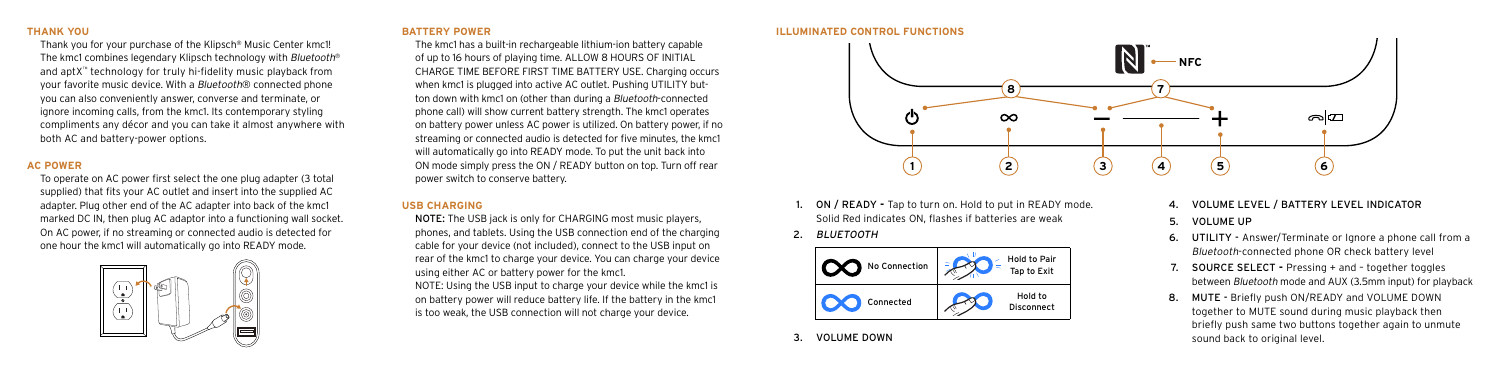## **THANK YOU**

Thank you for your purchase of the Klipsch® Music Center kmc1! The kmc1 combines legendary Klipsch technology with Bluetooth® and aptX™ technology for truly hi-fidelity music playback from your favorite music device. With a Bluetooth® connected phone you can also conveniently answer, converse and terminate, or ignore incoming calls, from the kmc1. Its contemporary styling compliments any décor and you can take it almost anywhere with both AC and battery-power options.

# **AC POWER**

To operate on AC power first select the one plug adapter (3 total supplied) that fits your AC outlet and insert into the supplied AC adapter. Plug other end of the AC adapter into back of the kmc1 marked DC IN, then plug AC adaptor into a functioning wall socket. On AC power, if no streaming or connected audio is detected for one hour the kmc1 will automatically go into READY mode.



## **BATTERY POWER**

The kmc1 has a built-in rechargeable lithium-ion battery capable of up to 16 hours of playing time. ALLOW 8 HOURS OF INITIAL CHARGE TIME BEFORE FIRST TIME BATTERY USE. Charging occurs when kmc1 is plugged into active AC outlet. Pushing UTILITY button down with kmc1 on (other than during a Bluetooth-connected phone call) will show current battery strength. The kmc1 operates on battery power unless AC power is utilized. On battery power, if no streaming or connected audio is detected for five minutes, the kmc1 will automatically go into READY mode. To put the unit back into ON mode simply press the ON / READY button on top. Turn off rear power switch to conserve battery.

# **USB CHARGING**

NOTE: The USB jack is only for CHARGING most music players, phones, and tablets. Using the USB connection end of the charging cable for your device (not included), connect to the USB input on rear of the kmc1 to charge your device. You can charge your device using either AC or battery power for the kmc1. NOTE: Using the USB input to charge your device while the kmc1 is on battery power will reduce battery life. If the battery in the kmc1 is too weak, the USB connection will not charge your device.





- ON / READY Tap to turn on. Hold to put in READY mode. Solid Red indicates ON, flashes if batteries are weak
- 2. BLUETOOTH



VOLUME DOWN

- 4. VOLUME LEVEL / BATTERY LEVEL INDICATOR
- 5. VOLUME UP
- 6. UTILITY Answer/Terminate or Ignore a phone call from a Bluetooth-connected phone OR check battery level
- **SOURCE SELECT Pressing + and together toggles** between Bluetooth mode and AUX (3.5mm input) for playback
- 8. MUTE Briefly push ON/READY and VOLUME DOWN together to MUTE sound during music playback then briefly push same two buttons together again to unmute sound back to original level.